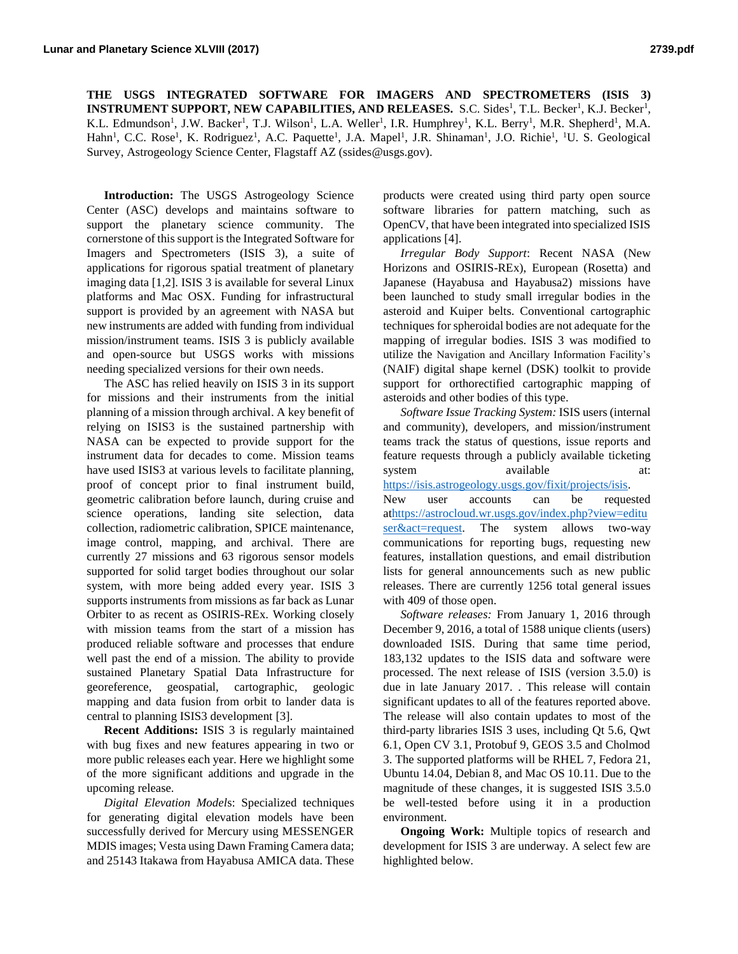**THE USGS INTEGRATED SOFTWARE FOR IMAGERS AND SPECTROMETERS (ISIS 3) INSTRUMENT SUPPORT, NEW CAPABILITIES, AND RELEASES.** S.C. Sides<sup>1</sup>, T.L. Becker<sup>1</sup>, K.J. Becker<sup>1</sup>, K.L. Edmundson<sup>1</sup>, J.W. Backer<sup>1</sup>, T.J. Wilson<sup>1</sup>, L.A. Weller<sup>1</sup>, I.R. Humphrey<sup>1</sup>, K.L. Berry<sup>1</sup>, M.R. Shepherd<sup>1</sup>, M.A. Hahn<sup>1</sup>, C.C. Rose<sup>1</sup>, K. Rodriguez<sup>1</sup>, A.C. Paquette<sup>1</sup>, J.A. Mapel<sup>1</sup>, J.R. Shinaman<sup>1</sup>, J.O. Richie<sup>1</sup>, <sup>1</sup>U. S. Geological Survey, Astrogeology Science Center, Flagstaff AZ (ssides@usgs.gov).

**Introduction:** The USGS Astrogeology Science Center (ASC) develops and maintains software to support the planetary science community. The cornerstone of this support is the Integrated Software for Imagers and Spectrometers (ISIS 3), a suite of applications for rigorous spatial treatment of planetary imaging data [1,2]. ISIS 3 is available for several Linux platforms and Mac OSX. Funding for infrastructural support is provided by an agreement with NASA but new instruments are added with funding from individual mission/instrument teams. ISIS 3 is publicly available and open-source but USGS works with missions needing specialized versions for their own needs.

The ASC has relied heavily on ISIS 3 in its support for missions and their instruments from the initial planning of a mission through archival. A key benefit of relying on ISIS3 is the sustained partnership with NASA can be expected to provide support for the instrument data for decades to come. Mission teams have used ISIS3 at various levels to facilitate planning, proof of concept prior to final instrument build, geometric calibration before launch, during cruise and science operations, landing site selection, data collection, radiometric calibration, SPICE maintenance, image control, mapping, and archival. There are currently 27 missions and 63 rigorous sensor models supported for solid target bodies throughout our solar system, with more being added every year. ISIS 3 supports instruments from missions as far back as Lunar Orbiter to as recent as OSIRIS-REx. Working closely with mission teams from the start of a mission has produced reliable software and processes that endure well past the end of a mission. The ability to provide sustained Planetary Spatial Data Infrastructure for georeference, geospatial, cartographic, geologic mapping and data fusion from orbit to lander data is central to planning ISIS3 development [3].

**Recent Additions:** ISIS 3 is regularly maintained with bug fixes and new features appearing in two or more public releases each year. Here we highlight some of the more significant additions and upgrade in the upcoming release.

*Digital Elevation Model*s: Specialized techniques for generating digital elevation models have been successfully derived for Mercury using MESSENGER MDIS images; Vesta using Dawn Framing Camera data; and 25143 Itakawa from Hayabusa AMICA data. These

products were created using third party open source software libraries for pattern matching, such as OpenCV, that have been integrated into specialized ISIS applications [4].

*Irregular Body Support*: Recent NASA (New Horizons and OSIRIS-REx), European (Rosetta) and Japanese (Hayabusa and Hayabusa2) missions have been launched to study small irregular bodies in the asteroid and Kuiper belts. Conventional cartographic techniques for spheroidal bodies are not adequate for the mapping of irregular bodies. ISIS 3 was modified to utilize the Navigation and Ancillary Information Facility's (NAIF) digital shape kernel (DSK) toolkit to provide support for orthorectified cartographic mapping of asteroids and other bodies of this type.

*Software Issue Tracking System:* ISIS users (internal and community), developers, and mission/instrument teams track the status of questions, issue reports and feature requests through a publicly available ticketing system available at: [https://isis.astrogeology.usgs.gov/fixit/projects/isis.](https://isis.astrogeology.usgs.gov/fixit/projects/isis)

New user accounts can be requested a[thttps://astrocloud.wr.usgs.gov/index.php?view=editu](https://astrocloud.wr.usgs.gov/index.php?view=edituser&act=request) [ser&act=request.](https://astrocloud.wr.usgs.gov/index.php?view=edituser&act=request) The system allows two-way communications for reporting bugs, requesting new features, installation questions, and email distribution lists for general announcements such as new public releases. There are currently 1256 total general issues with 409 of those open.

*Software releases:* From January 1, 2016 through December 9, 2016, a total of 1588 unique clients (users) downloaded ISIS. During that same time period, 183,132 updates to the ISIS data and software were processed. The next release of ISIS (version 3.5.0) is due in late January 2017. . This release will contain significant updates to all of the features reported above. The release will also contain updates to most of the third-party libraries ISIS 3 uses, including Qt 5.6, Qwt 6.1, Open CV 3.1, Protobuf 9, GEOS 3.5 and Cholmod 3. The supported platforms will be RHEL 7, Fedora 21, Ubuntu 14.04, Debian 8, and Mac OS 10.11. Due to the magnitude of these changes, it is suggested ISIS 3.5.0 be well-tested before using it in a production environment.

**Ongoing Work:** Multiple topics of research and development for ISIS 3 are underway. A select few are highlighted below.